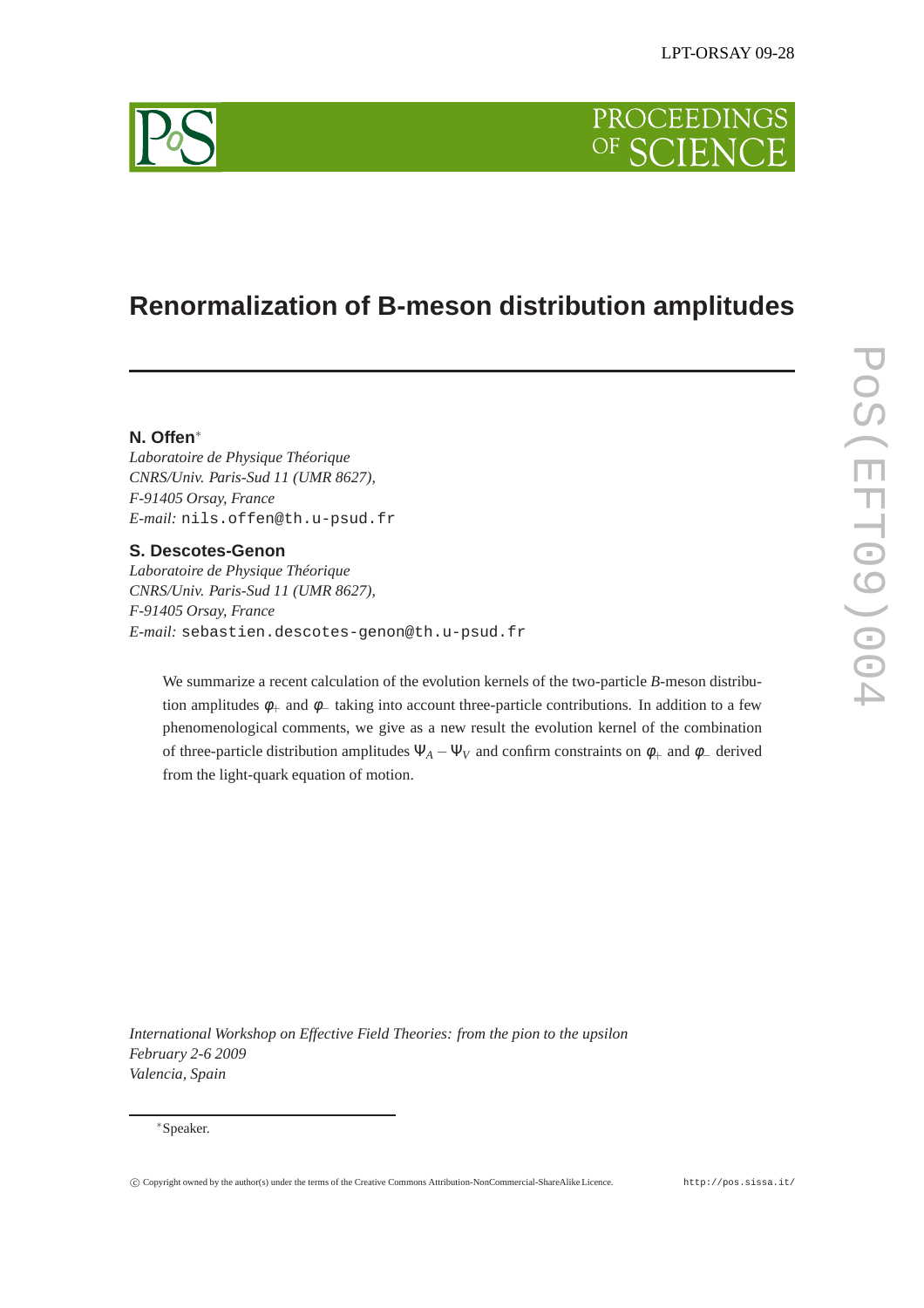# **PROCEEDINGS** OF SCIEN

# **Renormalization of B-meson distribution amplitudes**

# **N. Offen**<sup>∗</sup>

*Laboratoire de Physique Théorique CNRS/Univ. Paris-Sud 11 (UMR 8627), F-91405 Orsay, France E-mail:* nils.offen@th.u-psud.fr

## **S. Descotes-Genon**

*Laboratoire de Physique Théorique CNRS/Univ. Paris-Sud 11 (UMR 8627), F-91405 Orsay, France E-mail:* sebastien.descotes-genon@th.u-psud.fr

We summarize a recent calculation of the evolution kernels of the two-particle *B*-meson distribution amplitudes  $\phi_+$  and  $\phi_-$  taking into account three-particle contributions. In addition to a few phenomenological comments, we give as a new result the evolution kernel of the combination of three-particle distribution amplitudes  $\Psi_A - \Psi_V$  and confirm constraints on  $\phi_+$  and  $\phi_-$  derived from the light-quark equation of motion.

*International Workshop on Effective Field Theories: from the pion to the upsilon February 2-6 2009 Valencia, Spain*

#### <sup>∗</sup>Speaker.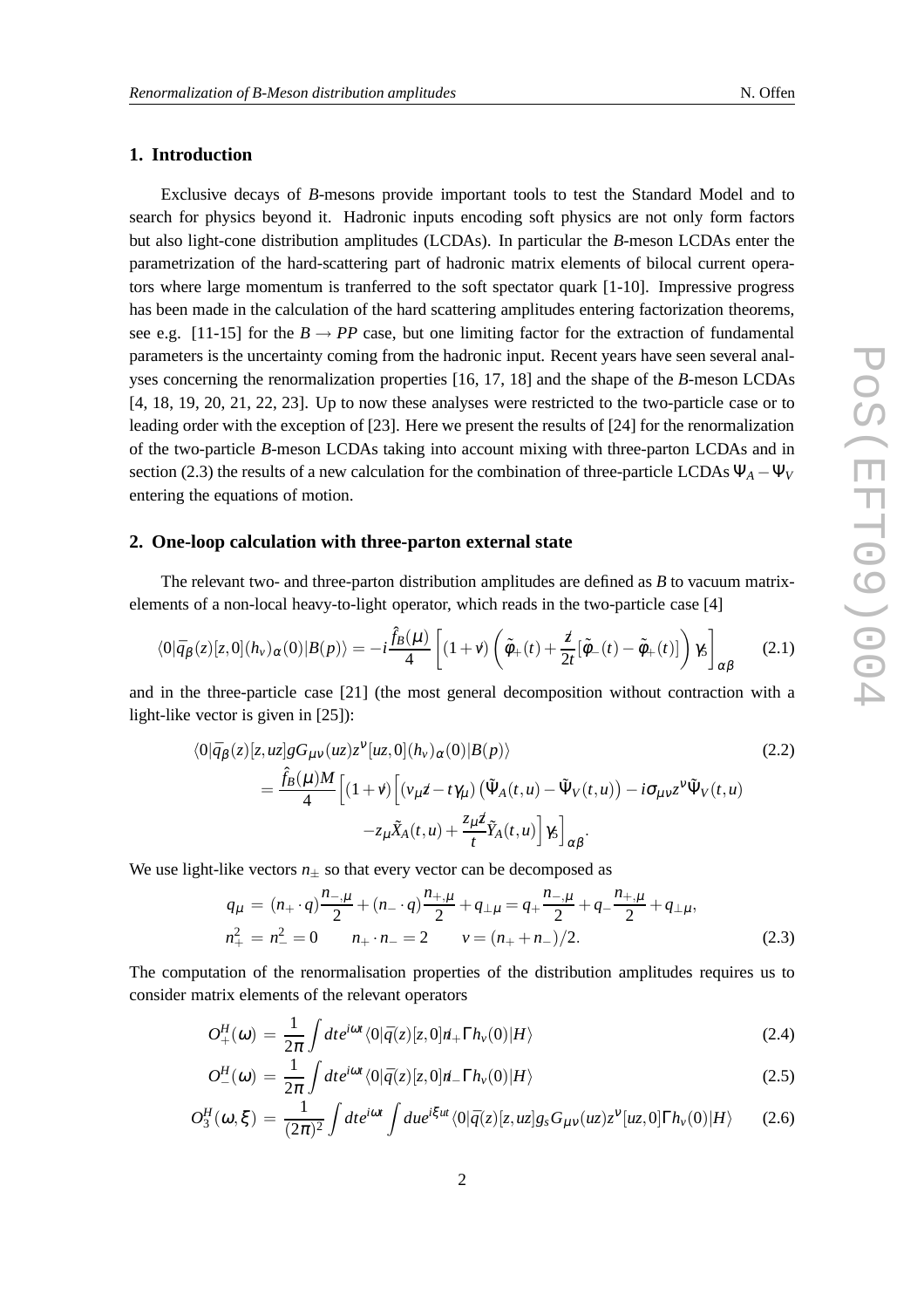# **1. Introduction**

Exclusive decays of *B*-mesons provide important tools to test the Standard Model and to search for physics beyond it. Hadronic inputs encoding soft physics are not only form factors but also light-cone distribution amplitudes (LCDAs). In particular the *B*-meson LCDAs enter the parametrization of the hard-scattering part of hadronic matrix elements of bilocal current operators where large momentum is tranferred to the soft spectator quark [1-10]. Impressive progress has been made in the calculation of the hard scattering amplitudes entering factorization theorems, see e.g. [11-15] for the  $B \to PP$  case, but one limiting factor for the extraction of fundamental parameters is the uncertainty coming from the hadronic input. Recent years have seen several analyses concerning the renormalization properties [16, 17, 18] and the shape of the *B*-meson LCDAs [4, 18, 19, 20, 21, 22, 23]. Up to now these analyses were restricted to the two-particle case or to leading order with the exception of [23]. Here we present the results of [24] for the renormalization of the two-particle *B*-meson LCDAs taking into account mixing with three-parton LCDAs and in section (2.3) the results of a new calculation for the combination of three-particle LCDAs  $\Psi_A - \Psi_V$ entering the equations of motion.

### **2. One-loop calculation with three-parton external state**

The relevant two- and three-parton distribution amplitudes are defined as *B* to vacuum matrixelements of a non-local heavy-to-light operator, which reads in the two-particle case [4]

$$
\langle 0|\bar{q}_{\beta}(z)[z,0](h_{\nu})_{\alpha}(0)|B(p)\rangle = -i\frac{\hat{f}_{B}(\mu)}{4}\left[ (1+\nu)\left(\tilde{\phi}_{+}(t)+\frac{\dot{z}}{2t}[\tilde{\phi}_{-}(t)-\tilde{\phi}_{+}(t)]\right)\gamma_{5}\right]_{\alpha\beta} \qquad (2.1)
$$

and in the three-particle case [21] (the most general decomposition without contraction with a light-like vector is given in [25]):

$$
\langle 0|\bar{q}_{\beta}(z)[z,uz]gG_{\mu\nu}(uz)z^{\nu}[uz,0](h_{\nu})_{\alpha}(0)|B(p)\rangle
$$
\n
$$
=\frac{\hat{f}_{B}(\mu)M}{4}\Big[(1+\nu)\Big[(\nu_{\mu}z-t\gamma_{\mu})(\tilde{\Psi}_{A}(t,u)-\tilde{\Psi}_{V}(t,u)) -i\sigma_{\mu\nu}z^{\nu}\tilde{\Psi}_{V}(t,u) -z_{\mu}\tilde{X}_{A}(t,u)+\frac{z_{\mu}z}{t}\tilde{Y}_{A}(t,u)\Big]\gamma_{5}\Big]_{\alpha\beta}.
$$
\n(2.2)

We use light-like vectors  $n_{\pm}$  so that every vector can be decomposed as

$$
q_{\mu} = (n_{+} \cdot q) \frac{n_{-,\mu}}{2} + (n_{-} \cdot q) \frac{n_{+,\mu}}{2} + q_{\perp \mu} = q_{+} \frac{n_{-,\mu}}{2} + q_{-} \frac{n_{+,\mu}}{2} + q_{\perp \mu},
$$
  
\n
$$
n_{+}^{2} = n_{-}^{2} = 0 \qquad n_{+} \cdot n_{-} = 2 \qquad v = (n_{+} + n_{-})/2.
$$
\n(2.3)

The computation of the renormalisation properties of the distribution amplitudes requires us to consider matrix elements of the relevant operators

$$
O_{+}^{H}(\omega) = \frac{1}{2\pi} \int dt e^{i\omega t} \langle 0|\bar{q}(z)[z,0]dt_{+} \Gamma h_{\nu}(0)|H\rangle \qquad (2.4)
$$

$$
O_{-}^{H}(\omega) = \frac{1}{2\pi} \int dt e^{i\omega t} \langle 0|\bar{q}(z)[z,0]\eta_{-} \Gamma h_{\nu}(0)|H\rangle \qquad (2.5)
$$

$$
O_3^H(\omega,\xi) = \frac{1}{(2\pi)^2} \int dt e^{i\omega t} \int du e^{i\xi ut} \langle 0|\bar{q}(z)[z,uz]g_s G_{\mu\nu}(uz)z^{\nu}[uz,0]\Gamma h_{\nu}(0)|H\rangle \qquad (2.6)
$$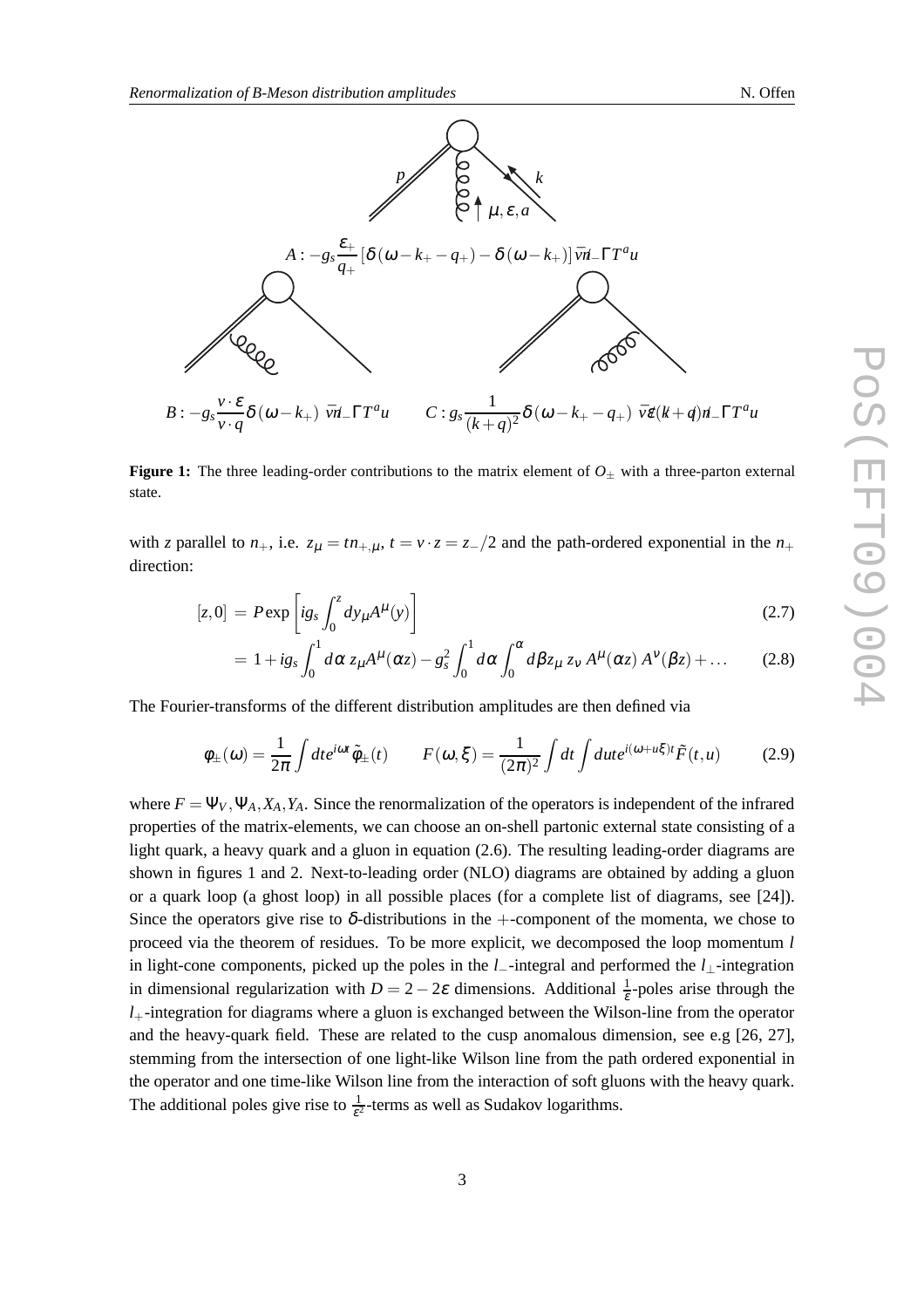

**Figure 1:** The three leading-order contributions to the matrix element of  $O_{\pm}$  with a three-parton external state.

with *z* parallel to  $n_+$ , i.e.  $z_\mu = tn_{+,\mu}$ ,  $t = v \cdot z = z_-/2$  and the path-ordered exponential in the  $n_+$ direction:

$$
[z,0] = P \exp\left[i g_s \int_0^z dy_\mu A^\mu(y)\right]
$$
\n(2.7)

$$
= 1 + ig_s \int_0^1 d\alpha z_\mu A^\mu(\alpha z) - g_s^2 \int_0^1 d\alpha \int_0^\alpha d\beta z_\mu z_\nu A^\mu(\alpha z) A^\nu(\beta z) + \dots \tag{2.8}
$$

The Fourier-transforms of the different distribution amplitudes are then defined via

$$
\phi_{\pm}(\omega) = \frac{1}{2\pi} \int dt e^{i\omega t} \tilde{\phi}_{\pm}(t) \qquad F(\omega, \xi) = \frac{1}{(2\pi)^2} \int dt \int du t e^{i(\omega + u\xi)t} \tilde{F}(t, u) \tag{2.9}
$$

where  $F = \Psi_V, \Psi_A, X_A, Y_A$ . Since the renormalization of the operators is independent of the infrared properties of the matrix-elements, we can choose an on-shell partonic external state consisting of a light quark, a heavy quark and a gluon in equation (2.6). The resulting leading-order diagrams are shown in figures 1 and 2. Next-to-leading order (NLO) diagrams are obtained by adding a gluon or a quark loop (a ghost loop) in all possible places (for a complete list of diagrams, see [24]). Since the operators give rise to  $\delta$ -distributions in the +-component of the momenta, we chose to proceed via the theorem of residues. To be more explicit, we decomposed the loop momentum *l* in light-cone components, picked up the poles in the *l*−-integral and performed the *l*⊥-integration in dimensional regularization with  $D = 2 - 2\varepsilon$  dimensions. Additional  $\frac{1}{\varepsilon}$ -poles arise through the  $l_{+}$ -integration for diagrams where a gluon is exchanged between the Wilson-line from the operator and the heavy-quark field. These are related to the cusp anomalous dimension, see e.g [26, 27], stemming from the intersection of one light-like Wilson line from the path ordered exponential in the operator and one time-like Wilson line from the interaction of soft gluons with the heavy quark. The additional poles give rise to  $\frac{1}{\epsilon^2}$ -terms as well as Sudakov logarithms.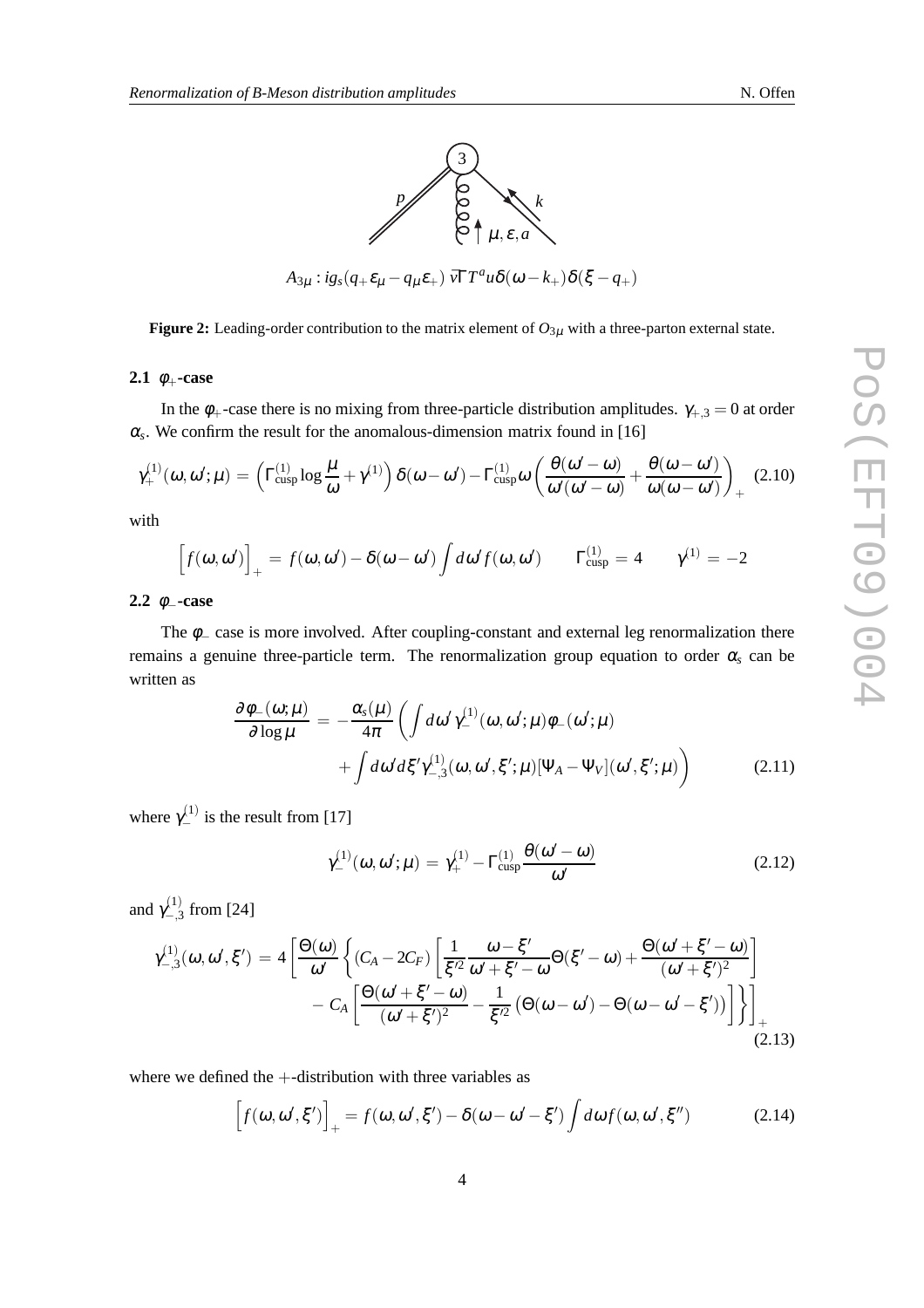

**Figure 2:** Leading-order contribution to the matrix element of  $O_{3\mu}$  with a three-parton external state.

#### **2.1**  $\phi_+$ **-case**

In the  $\phi_+$ -case there is no mixing from three-particle distribution amplitudes.  $\gamma_{+,3} = 0$  at order  $\alpha_s$ . We confirm the result for the anomalous-dimension matrix found in [16]

$$
\gamma_{+}^{(1)}(\omega,\omega';\mu) = \left(\Gamma_{\text{cusp}}^{(1)}\log\frac{\mu}{\omega} + \gamma^{(1)}\right)\delta(\omega-\omega') - \Gamma_{\text{cusp}}^{(1)}\omega\left(\frac{\theta(\omega'-\omega)}{\omega'(\omega'-\omega)} + \frac{\theta(\omega-\omega')}{\omega(\omega-\omega')}\right)_{+} (2.10)
$$

with

$$
\[f(\omega,\omega')\]_{+} = f(\omega,\omega') - \delta(\omega-\omega')\int d\omega' f(\omega,\omega') \qquad \Gamma_{\text{cusp}}^{(1)} = 4 \qquad \gamma^{(1)} = -2
$$

**2.2** φ–**-case** 

The  $\phi$  case is more involved. After coupling-constant and external leg renormalization there remains a genuine three-particle term. The renormalization group equation to order  $\alpha_s$  can be written as

$$
\frac{\partial \phi_{-}(\omega;\mu)}{\partial \log \mu} = -\frac{\alpha_{s}(\mu)}{4\pi} \left( \int d\omega' \gamma_{-}^{(1)}(\omega,\omega';\mu) \phi_{-}(\omega';\mu) \right. \\ \left. + \int d\omega' d\xi' \gamma_{-,3}^{(1)}(\omega,\omega',\xi';\mu) [\Psi_{A} - \Psi_{V}](\omega',\xi';\mu) \right) \tag{2.11}
$$

where  $\gamma_{-}^{(1)}$  is the result from [17]

$$
\gamma_{-}^{(1)}(\omega,\omega';\mu) = \gamma_{+}^{(1)} - \Gamma_{\text{cusp}}^{(1)} \frac{\theta(\omega'-\omega)}{\omega'} \tag{2.12}
$$

and  $\gamma_{-}^{(1)}$  $\frac{\lambda^{1}}{\lambda^{2}}$  from [24]

$$
\gamma_{-,3}^{(1)}(\omega,\omega',\xi') = 4 \left[ \frac{\Theta(\omega)}{\omega'} \left\{ (C_A - 2C_F) \left[ \frac{1}{\xi'^2} \frac{\omega - \xi'}{\omega' + \xi' - \omega} \Theta(\xi' - \omega) + \frac{\Theta(\omega' + \xi' - \omega)}{(\omega' + \xi')^2} \right] - C_A \left[ \frac{\Theta(\omega' + \xi' - \omega)}{(\omega' + \xi')^2} - \frac{1}{\xi'^2} \left( \Theta(\omega - \omega') - \Theta(\omega - \omega' - \xi') \right) \right] \right\} \right]_{+}
$$
(2.13)

where we defined the +-distribution with three variables as

$$
\[f(\omega,\omega',\xi')\]_+ = f(\omega,\omega',\xi') - \delta(\omega-\omega'-\xi')\int d\omega f(\omega,\omega',\xi'')
$$
(2.14)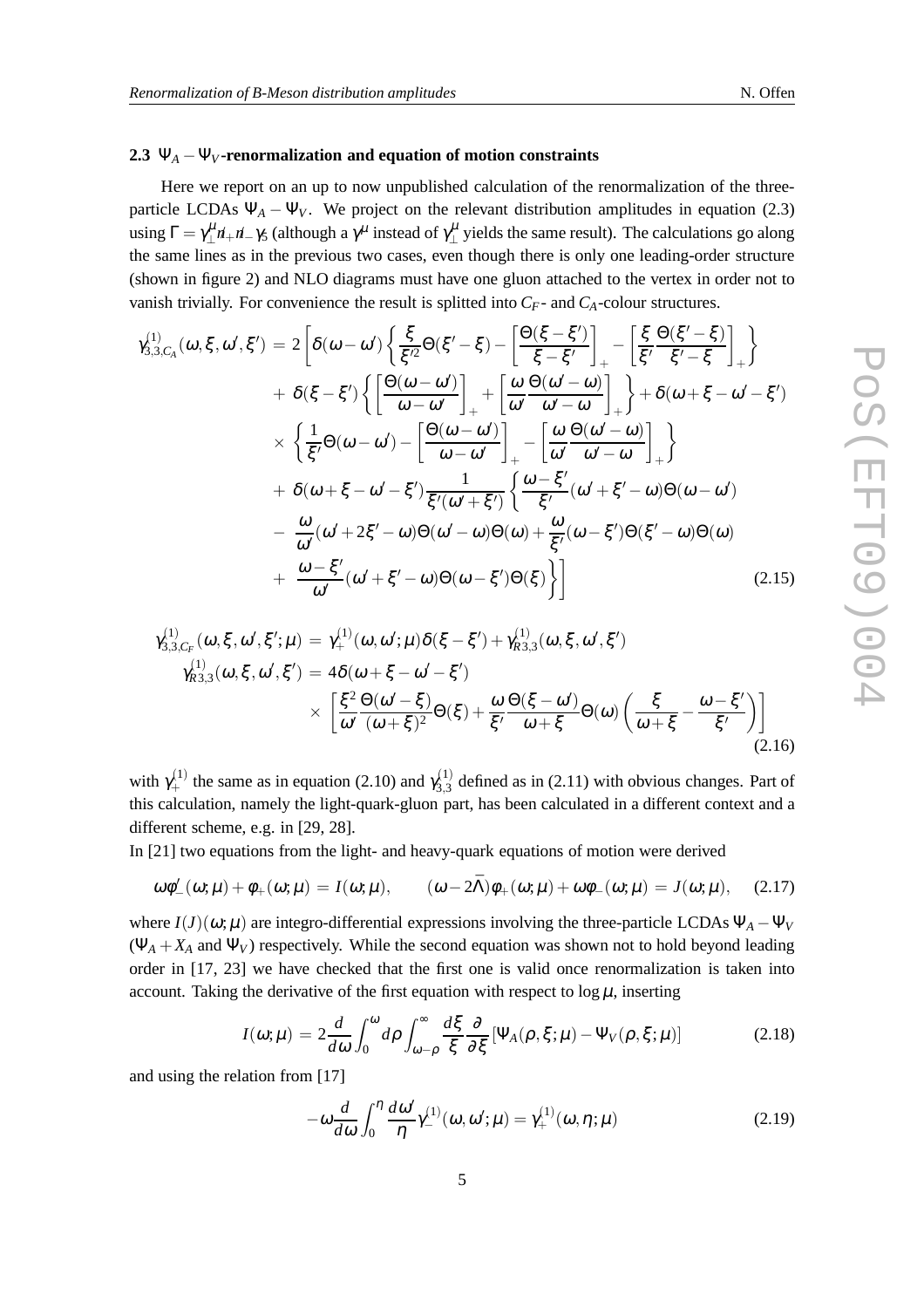## 2.3  $\Psi_A - \Psi_V$ **-renormalization and equation of motion constraints**

Here we report on an up to now unpublished calculation of the renormalization of the threeparticle LCDAs  $\Psi_A - \Psi_V$ . We project on the relevant distribution amplitudes in equation (2.3) using  $\Gamma = \gamma_{\perp}^{\mu} n_{+} n_{-} \gamma_5$  (although a  $\gamma^{\mu}$  instead of  $\gamma_{\perp}^{\mu}$  yields the same result). The calculations go along the same lines as in the previous two cases, even though there is only one leading-order structure (shown in figure 2) and NLO diagrams must have one gluon attached to the vertex in order not to vanish trivially. For convenience the result is splitted into  $C_F$ - and  $C_A$ -colour structures.

$$
\gamma_{3,3,C_A}^{(1)}(\omega,\xi,\omega',\xi') = 2\left[\delta(\omega-\omega')\left\{\frac{\xi}{\xi'^2}\Theta(\xi'-\xi) - \left[\frac{\Theta(\xi-\xi')}{\xi-\xi'}\right]_{+} - \left[\frac{\xi}{\xi'}\frac{\Theta(\xi'-\xi)}{\xi'-\xi}\right]_{+}\right\} + \delta(\xi-\xi')\left\{\left[\frac{\Theta(\omega-\omega')}{\omega-\omega'}\right]_{+} + \left[\frac{\omega}{\omega'}\frac{\Theta(\omega'-\omega)}{\omega'-\omega}\right]_{+}\right\} + \delta(\omega+\xi-\omega'-\xi') \times \left\{\frac{1}{\xi'}\Theta(\omega-\omega') - \left[\frac{\Theta(\omega-\omega')}{\omega-\omega'}\right]_{+} - \left[\frac{\omega}{\omega'}\frac{\Theta(\omega'-\omega)}{\omega'-\omega}\right]_{+}\right\} + \delta(\omega+\xi-\omega'-\xi')\frac{1}{\xi'(\omega'+\xi')} \left\{\frac{\omega-\xi'}{\xi'}(\omega'+\xi'-\omega)\Theta(\omega-\omega') - \frac{\omega}{\omega'}(\omega'+2\xi'-\omega)\Theta(\omega'-\omega)\Theta(\omega) + \frac{\omega}{\xi'}(\omega-\xi')\Theta(\xi'-\omega)\Theta(\omega) + \frac{\omega-\xi'}{\omega'}(\omega'+\xi'-\omega)\Theta(\omega-\xi')\Theta(\xi)\right\}
$$
(2.15)

$$
\gamma_{3,3,C_F}^{(1)}(\omega,\xi,\omega',\xi';\mu) = \gamma_+^{(1)}(\omega,\omega';\mu)\delta(\xi-\xi') + \gamma_{R3,3}^{(1)}(\omega,\xi,\omega',\xi')
$$
  

$$
\gamma_{R3,3}^{(1)}(\omega,\xi,\omega',\xi') = 4\delta(\omega+\xi-\omega'-\xi')
$$
  

$$
\times \left[\frac{\xi^2}{\omega'}\frac{\Theta(\omega'-\xi)}{(\omega+\xi)^2}\Theta(\xi) + \frac{\omega}{\xi'}\frac{\Theta(\xi-\omega')}{\omega+\xi}\Theta(\omega)\left(\frac{\xi}{\omega+\xi}-\frac{\omega-\xi'}{\xi'}\right)\right]
$$
(2.16)

with  $\gamma_+^{(1)}$  the same as in equation (2.10) and  $\gamma_{3,3}^{(1)}$  $^{(1)}_{3,3}$  defined as in (2.11) with obvious changes. Part of this calculation, namely the light-quark-gluon part, has been calculated in a different context and a different scheme, e.g. in [29, 28].

In [21] two equations from the light- and heavy-quark equations of motion were derived

$$
\omega\phi'_{-}(\omega;\mu)+\phi_{+}(\omega;\mu)=I(\omega;\mu), \qquad (\omega-2\bar{\Lambda})\phi_{+}(\omega;\mu)+\omega\phi_{-}(\omega;\mu)=J(\omega;\mu), \qquad (2.17)
$$

where  $I(J)(\omega;\mu)$  are integro-differential expressions involving the three-particle LCDAs  $\Psi_A - \Psi_V$  $(\Psi_A + X_A \text{ and } \Psi_V)$  respectively. While the second equation was shown not to hold beyond leading order in [17, 23] we have checked that the first one is valid once renormalization is taken into account. Taking the derivative of the first equation with respect to  $\log \mu$ , inserting

$$
I(\omega;\mu) = 2\frac{d}{d\omega} \int_0^{\omega} d\rho \int_{\omega-\rho}^{\infty} \frac{d\xi}{\xi} \frac{\partial}{\partial \xi} \left[ \Psi_A(\rho,\xi;\mu) - \Psi_V(\rho,\xi;\mu) \right]
$$
(2.18)

and using the relation from [17]

$$
-\omega \frac{d}{d\omega} \int_0^\eta \frac{d\omega'}{\eta} \gamma^{(1)}_-(\omega,\omega';\mu) = \gamma^{(1)}_+(\omega,\eta;\mu)
$$
 (2.19)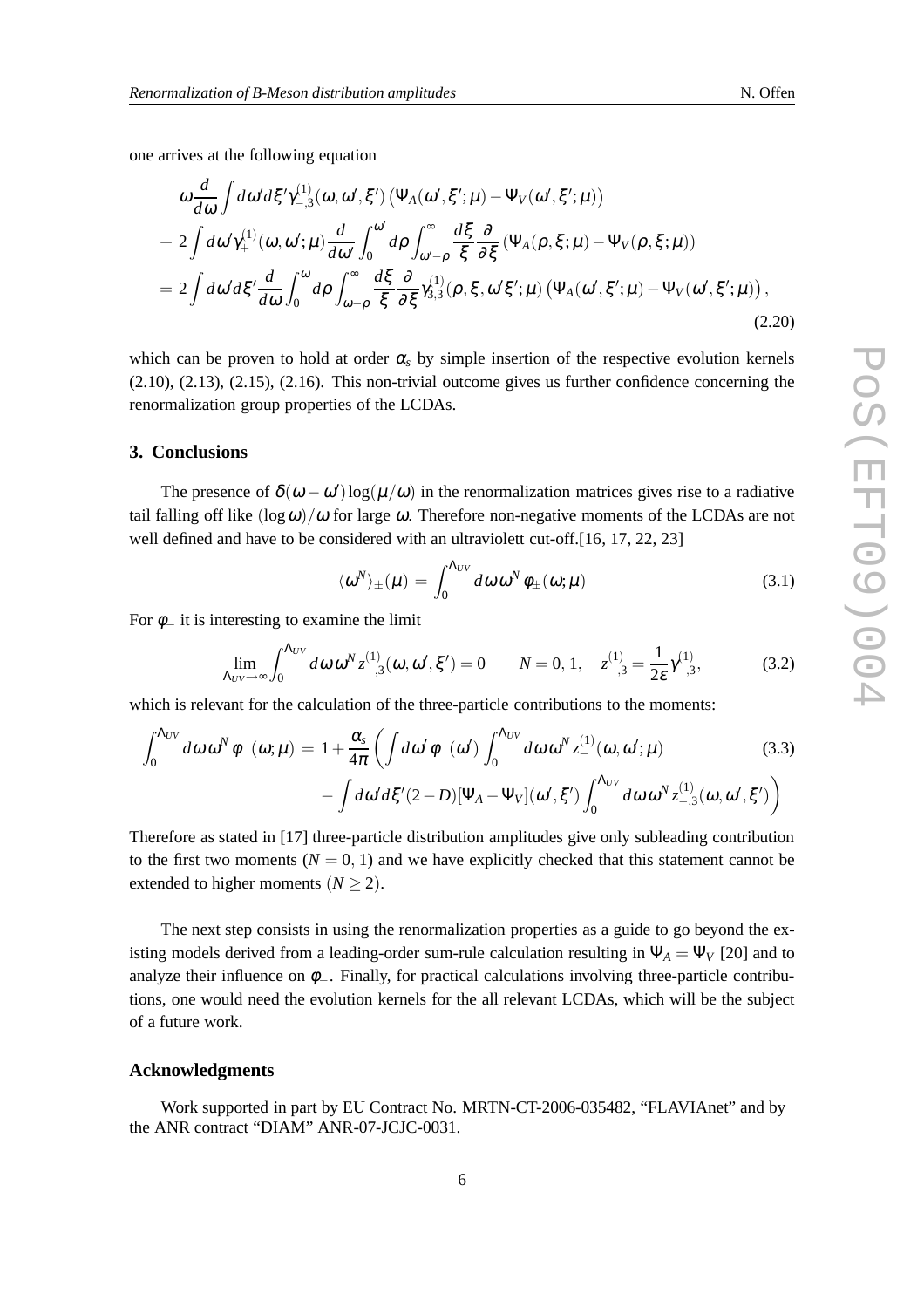one arrives at the following equation

$$
\omega \frac{d}{d\omega} \int d\omega' d\xi' \gamma_{-,3}^{(1)}(\omega, \omega', \xi') \left( \Psi_A(\omega', \xi'; \mu) - \Psi_V(\omega', \xi'; \mu) \right) + 2 \int d\omega' \gamma_+^{(1)}(\omega, \omega'; \mu) \frac{d}{d\omega'} \int_0^{\omega'} d\rho \int_{\omega'-\rho}^{\infty} \frac{d\xi}{\xi} \frac{\partial}{\partial\xi} \left( \Psi_A(\rho, \xi; \mu) - \Psi_V(\rho, \xi; \mu) \right) = 2 \int d\omega' d\xi' \frac{d}{d\omega} \int_0^{\omega} d\rho \int_{\omega-\rho}^{\infty} \frac{d\xi}{\xi} \frac{\partial}{\partial\xi} \gamma_{3,3}^{(1)}(\rho, \xi, \omega'\xi'; \mu) \left( \Psi_A(\omega', \xi'; \mu) - \Psi_V(\omega', \xi'; \mu) \right),
$$
\n(2.20)

which can be proven to hold at order  $\alpha_s$  by simple insertion of the respective evolution kernels (2.10), (2.13), (2.15), (2.16). This non-trivial outcome gives us further confidence concerning the renormalization group properties of the LCDAs.

#### **3. Conclusions**

The presence of  $\delta(\omega - \omega') \log(\mu/\omega)$  in the renormalization matrices gives rise to a radiative tail falling off like  $(\log \omega)/\omega$  for large  $\omega$ . Therefore non-negative moments of the LCDAs are not well defined and have to be considered with an ultraviolett cut-off.[16, 17, 22, 23]

$$
\langle \omega^N \rangle_{\pm}(\mu) = \int_0^{\Lambda_{UV}} d\omega \, \omega^N \, \phi_{\pm}(\omega; \mu) \tag{3.1}
$$

For  $\phi$  it is interesting to examine the limit

$$
\lim_{\Lambda_{UV}\to\infty} \int_0^{\Lambda_{UV}} d\omega \, \omega^N z^{(1)}_{-,3}(\omega, \omega', \xi') = 0 \qquad N = 0, 1, \quad z^{(1)}_{-,3} = \frac{1}{2\varepsilon} \gamma^{(1)}_{-,3}, \tag{3.2}
$$

which is relevant for the calculation of the three-particle contributions to the moments:

$$
\int_0^{\Lambda_{UV}} d\omega \,\omega^N \phi_{-}(\omega;\mu) = 1 + \frac{\alpha_s}{4\pi} \left( \int d\omega' \phi_{-}(\omega') \int_0^{\Lambda_{UV}} d\omega \,\omega^N z_{-}^{(1)}(\omega,\omega';\mu) - \int d\omega' d\xi'(2-D) [\Psi_A - \Psi_V](\omega',\xi') \int_0^{\Lambda_{UV}} d\omega \,\omega^N z_{-,3}^{(1)}(\omega,\omega',\xi') \right)
$$
(3.3)

Therefore as stated in [17] three-particle distribution amplitudes give only subleading contribution to the first two moments  $(N = 0, 1)$  and we have explicitly checked that this statement cannot be extended to higher moments  $(N > 2)$ .

The next step consists in using the renormalization properties as a guide to go beyond the existing models derived from a leading-order sum-rule calculation resulting in  $\Psi_A = \Psi_V$  [20] and to analyze their influence on  $\phi$ <sub>−</sub>. Finally, for practical calculations involving three-particle contributions, one would need the evolution kernels for the all relevant LCDAs, which will be the subject of a future work.

#### **Acknowledgments**

Work supported in part by EU Contract No. MRTN-CT-2006-035482, "FLAVIAnet" and by the ANR contract "DIAM" ANR-07-JCJC-0031.